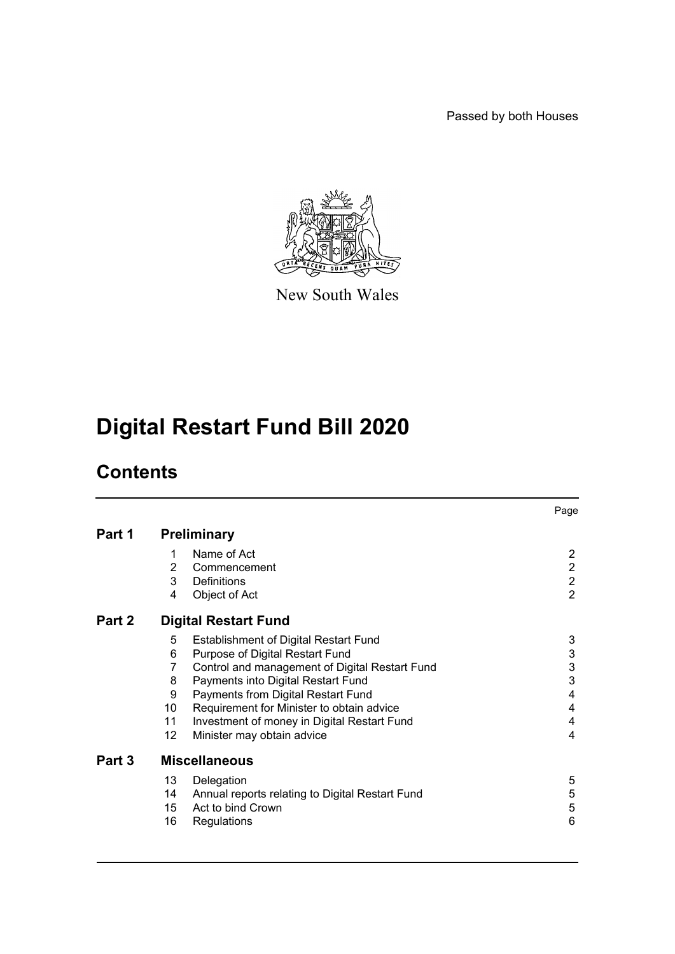Passed by both Houses



New South Wales

# **Digital Restart Fund Bill 2020**

## **Contents**

|        |                             |                                                 | Page           |
|--------|-----------------------------|-------------------------------------------------|----------------|
| Part 1 | <b>Preliminary</b>          |                                                 |                |
|        | 1                           | Name of Act                                     | 2              |
|        | $\overline{2}$              | Commencement                                    | $\overline{2}$ |
|        | 3                           | Definitions                                     | $\overline{2}$ |
|        | 4                           | Object of Act                                   | $\overline{2}$ |
| Part 2 | <b>Digital Restart Fund</b> |                                                 |                |
|        | 5                           | <b>Establishment of Digital Restart Fund</b>    | 3              |
|        | 6                           | Purpose of Digital Restart Fund                 | 3              |
|        | 7                           | Control and management of Digital Restart Fund  | 3              |
|        | 8                           | Payments into Digital Restart Fund              | 3              |
|        | 9                           | Payments from Digital Restart Fund              | 4              |
|        | 10                          | Requirement for Minister to obtain advice       | 4              |
|        | 11                          | Investment of money in Digital Restart Fund     | 4              |
|        | 12 <sub>2</sub>             | Minister may obtain advice                      | 4              |
| Part 3 | <b>Miscellaneous</b>        |                                                 |                |
|        | 13                          | Delegation                                      | 5              |
|        | 14                          | Annual reports relating to Digital Restart Fund | 5              |
|        | 15                          | Act to bind Crown                               | 5              |
|        | 16                          | Regulations                                     | 6              |
|        |                             |                                                 |                |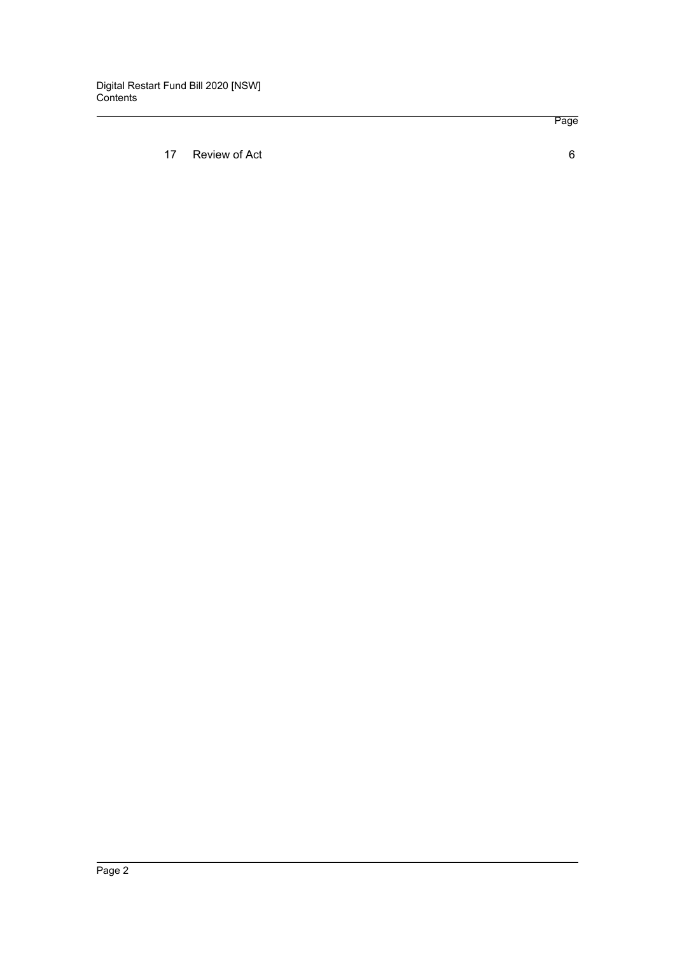[17 Review of Act 6](#page-7-1)

Page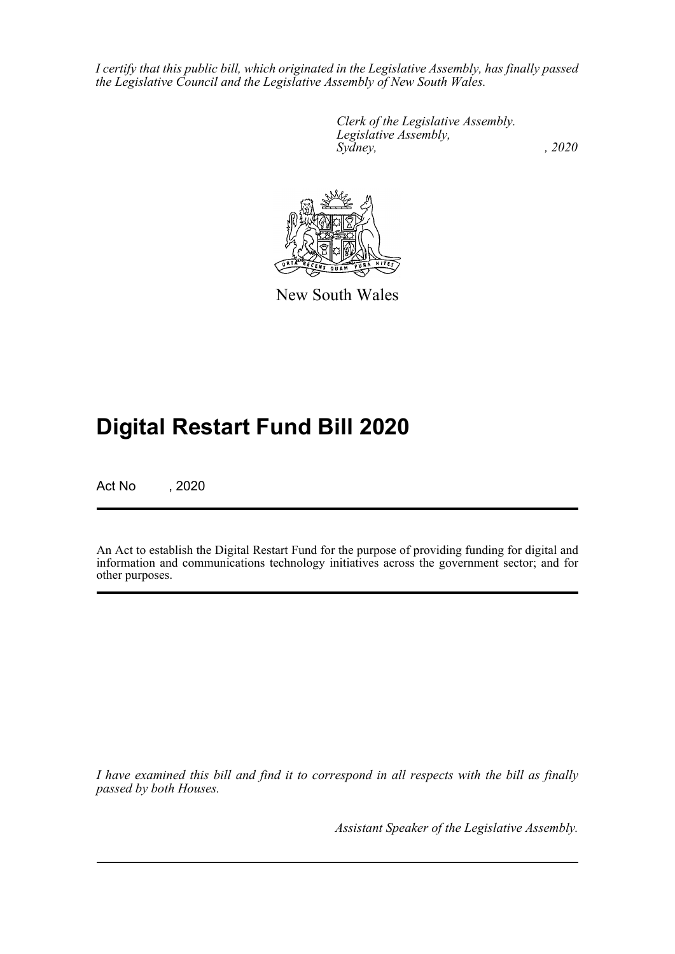*I certify that this public bill, which originated in the Legislative Assembly, has finally passed the Legislative Council and the Legislative Assembly of New South Wales.*

> *Clerk of the Legislative Assembly. Legislative Assembly, Sydney, , 2020*



New South Wales

## **Digital Restart Fund Bill 2020**

Act No , 2020

An Act to establish the Digital Restart Fund for the purpose of providing funding for digital and information and communications technology initiatives across the government sector; and for other purposes.

*I have examined this bill and find it to correspond in all respects with the bill as finally passed by both Houses.*

*Assistant Speaker of the Legislative Assembly.*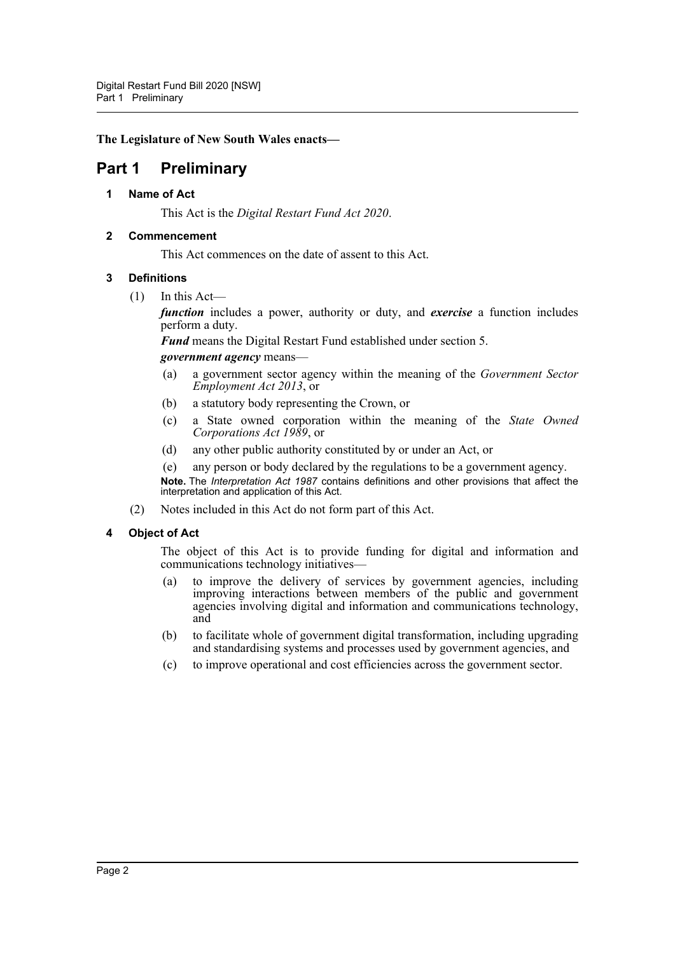**The Legislature of New South Wales enacts—**

### <span id="page-3-1"></span><span id="page-3-0"></span>**Part 1 Preliminary**

#### **1 Name of Act**

This Act is the *Digital Restart Fund Act 2020*.

#### <span id="page-3-2"></span>**2 Commencement**

This Act commences on the date of assent to this Act.

#### <span id="page-3-3"></span>**3 Definitions**

 $(1)$  In this Act—

*function* includes a power, authority or duty, and *exercise* a function includes perform a duty.

*Fund* means the Digital Restart Fund established under section 5.

#### *government agency* means—

- (a) a government sector agency within the meaning of the *Government Sector Employment Act 2013*, or
- (b) a statutory body representing the Crown, or
- (c) a State owned corporation within the meaning of the *State Owned Corporations Act 1989*, or
- (d) any other public authority constituted by or under an Act, or
- (e) any person or body declared by the regulations to be a government agency.

**Note.** The *Interpretation Act 1987* contains definitions and other provisions that affect the interpretation and application of this Act.

(2) Notes included in this Act do not form part of this Act.

#### <span id="page-3-4"></span>**4 Object of Act**

The object of this Act is to provide funding for digital and information and communications technology initiatives—

- (a) to improve the delivery of services by government agencies, including improving interactions between members of the public and government agencies involving digital and information and communications technology, and
- (b) to facilitate whole of government digital transformation, including upgrading and standardising systems and processes used by government agencies, and
- (c) to improve operational and cost efficiencies across the government sector.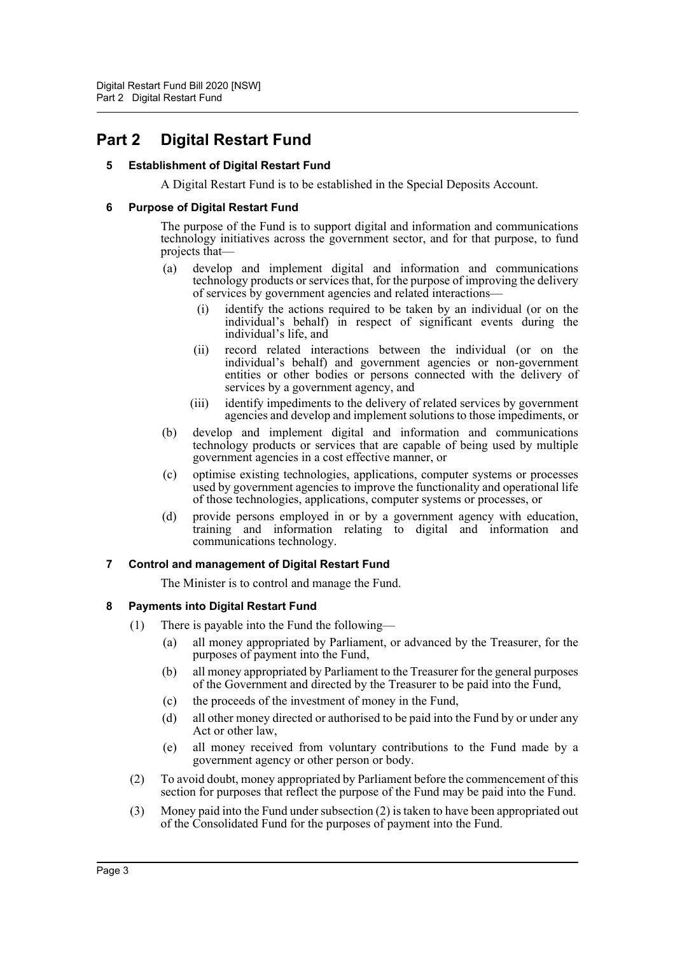## <span id="page-4-1"></span><span id="page-4-0"></span>**Part 2 Digital Restart Fund**

#### **5 Establishment of Digital Restart Fund**

A Digital Restart Fund is to be established in the Special Deposits Account.

#### <span id="page-4-2"></span>**6 Purpose of Digital Restart Fund**

The purpose of the Fund is to support digital and information and communications technology initiatives across the government sector, and for that purpose, to fund projects that—

- (a) develop and implement digital and information and communications technology products or services that, for the purpose of improving the delivery of services by government agencies and related interactions—
	- (i) identify the actions required to be taken by an individual (or on the individual's behalf) in respect of significant events during the individual's life, and
	- (ii) record related interactions between the individual (or on the individual's behalf) and government agencies or non-government entities or other bodies or persons connected with the delivery of services by a government agency, and
	- (iii) identify impediments to the delivery of related services by government agencies and develop and implement solutions to those impediments, or
- (b) develop and implement digital and information and communications technology products or services that are capable of being used by multiple government agencies in a cost effective manner, or
- (c) optimise existing technologies, applications, computer systems or processes used by government agencies to improve the functionality and operational life of those technologies, applications, computer systems or processes, or
- (d) provide persons employed in or by a government agency with education, training and information relating to digital and information and communications technology.

#### <span id="page-4-3"></span>**7 Control and management of Digital Restart Fund**

The Minister is to control and manage the Fund.

#### <span id="page-4-4"></span>**8 Payments into Digital Restart Fund**

- (1) There is payable into the Fund the following—
	- (a) all money appropriated by Parliament, or advanced by the Treasurer, for the purposes of payment into the Fund,
	- (b) all money appropriated by Parliament to the Treasurer for the general purposes of the Government and directed by the Treasurer to be paid into the Fund,
	- (c) the proceeds of the investment of money in the Fund,
	- (d) all other money directed or authorised to be paid into the Fund by or under any Act or other law,
	- (e) all money received from voluntary contributions to the Fund made by a government agency or other person or body.
- (2) To avoid doubt, money appropriated by Parliament before the commencement of this section for purposes that reflect the purpose of the Fund may be paid into the Fund.
- (3) Money paid into the Fund under subsection (2) is taken to have been appropriated out of the Consolidated Fund for the purposes of payment into the Fund.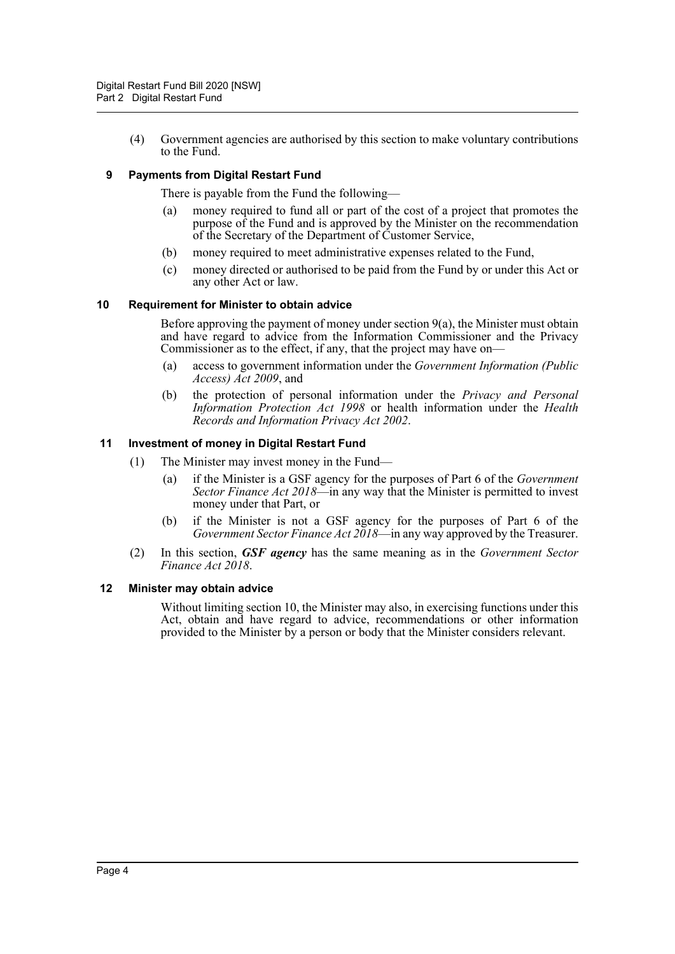(4) Government agencies are authorised by this section to make voluntary contributions to the Fund.

#### <span id="page-5-0"></span>**9 Payments from Digital Restart Fund**

There is payable from the Fund the following—

- (a) money required to fund all or part of the cost of a project that promotes the purpose of the Fund and is approved by the Minister on the recommendation of the Secretary of the Department of Customer Service,
- (b) money required to meet administrative expenses related to the Fund,
- (c) money directed or authorised to be paid from the Fund by or under this Act or any other Act or law.

#### <span id="page-5-1"></span>**10 Requirement for Minister to obtain advice**

Before approving the payment of money under section  $9(a)$ , the Minister must obtain and have regard to advice from the Information Commissioner and the Privacy Commissioner as to the effect, if any, that the project may have on—

- (a) access to government information under the *Government Information (Public Access) Act 2009*, and
- (b) the protection of personal information under the *Privacy and Personal Information Protection Act 1998* or health information under the *Health Records and Information Privacy Act 2002*.

#### <span id="page-5-2"></span>**11 Investment of money in Digital Restart Fund**

- (1) The Minister may invest money in the Fund—
	- (a) if the Minister is a GSF agency for the purposes of Part 6 of the *Government Sector Finance Act 2018*—in any way that the Minister is permitted to invest money under that Part, or
	- (b) if the Minister is not a GSF agency for the purposes of Part 6 of the *Government Sector Finance Act 2018*—in any way approved by the Treasurer.
- (2) In this section, *GSF agency* has the same meaning as in the *Government Sector Finance Act 2018*.

#### <span id="page-5-3"></span>**12 Minister may obtain advice**

Without limiting section 10, the Minister may also, in exercising functions under this Act, obtain and have regard to advice, recommendations or other information provided to the Minister by a person or body that the Minister considers relevant.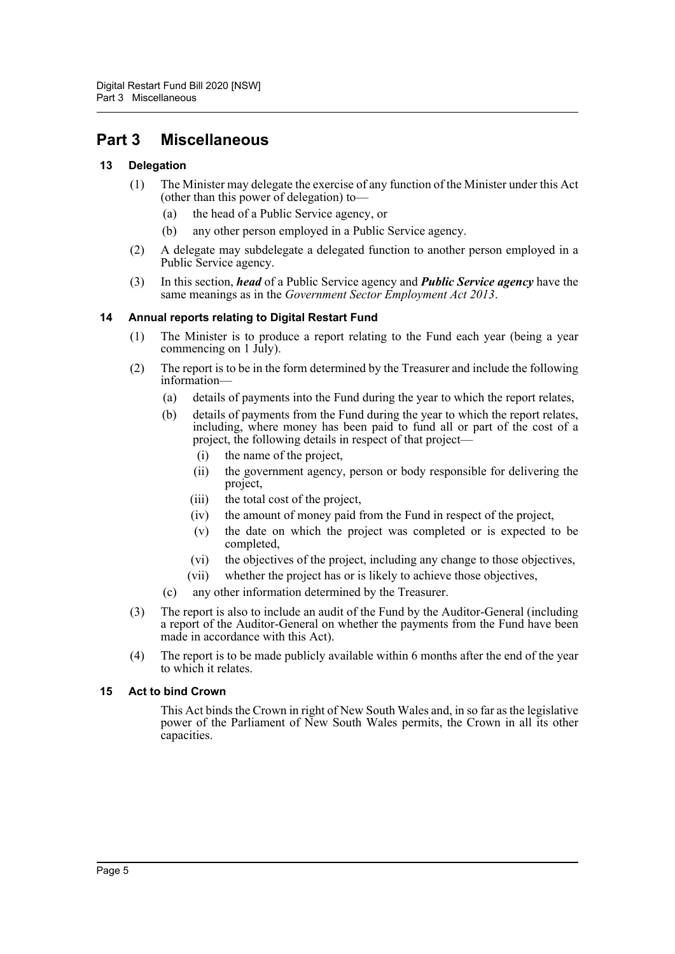### <span id="page-6-0"></span>**Part 3 Miscellaneous**

#### <span id="page-6-1"></span>**13 Delegation**

- (1) The Minister may delegate the exercise of any function of the Minister under this Act (other than this power of delegation) to—
	- (a) the head of a Public Service agency, or
	- (b) any other person employed in a Public Service agency.
- (2) A delegate may subdelegate a delegated function to another person employed in a Public Service agency.
- (3) In this section, *head* of a Public Service agency and *Public Service agency* have the same meanings as in the *Government Sector Employment Act 2013*.

#### <span id="page-6-2"></span>**14 Annual reports relating to Digital Restart Fund**

- (1) The Minister is to produce a report relating to the Fund each year (being a year commencing on 1 July).
- (2) The report is to be in the form determined by the Treasurer and include the following information—
	- (a) details of payments into the Fund during the year to which the report relates,
	- (b) details of payments from the Fund during the year to which the report relates, including, where money has been paid to fund all or part of the cost of a project, the following details in respect of that project—
		- (i) the name of the project,
		- (ii) the government agency, person or body responsible for delivering the project,
		- (iii) the total cost of the project,
		- (iv) the amount of money paid from the Fund in respect of the project,
		- (v) the date on which the project was completed or is expected to be completed,
		- (vi) the objectives of the project, including any change to those objectives,
		- (vii) whether the project has or is likely to achieve those objectives,
	- (c) any other information determined by the Treasurer.
- (3) The report is also to include an audit of the Fund by the Auditor-General (including a report of the Auditor-General on whether the payments from the Fund have been made in accordance with this Act).
- (4) The report is to be made publicly available within 6 months after the end of the year to which it relates.

#### <span id="page-6-3"></span>**15 Act to bind Crown**

This Act binds the Crown in right of New South Wales and, in so far as the legislative power of the Parliament of New South Wales permits, the Crown in all its other capacities.